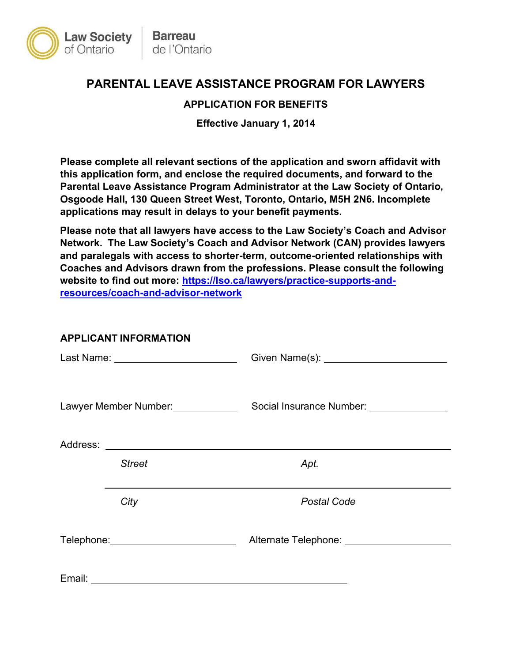

# **PARENTAL LEAVE ASSISTANCE PROGRAM FOR LAWYERS**

## **APPLICATION FOR BENEFITS**

**Effective January 1, 2014**

 **Please complete all relevant sections of the application and sworn affidavit with Osgoode Hall, 130 Queen Street West, Toronto, Ontario, M5H 2N6. Incomplete applications may result in delays to your benefit payments. this application form, and enclose the required documents, and forward to the Parental Leave Assistance Program Administrator at the Law Society of Ontario,** 

 **Network. The Law Society's Coach and Advisor Network (CAN) provides lawyers Coaches and Advisors drawn from the professions. Please consult the following Please note that all lawyers have access to the Law Society's Coach and Advisor and paralegals with access to shorter-term, outcome-oriented relationships with website to find out more: [https://lso.ca/lawyers/practice-supports-and](https://lso.ca/lawyers/practice-supports-and-resources/coach-and-advisor-network)[resources/coach-and-advisor-network](https://lso.ca/lawyers/practice-supports-and-resources/coach-and-advisor-network)** 

### **APPLICANT INFORMATION**

|        |                                       | Given Name(s): _________________________     |
|--------|---------------------------------------|----------------------------------------------|
|        | Lawyer Member Number: _____________   | Social Insurance Number: _______________     |
|        |                                       |                                              |
|        | <b>Street</b>                         | Apt.                                         |
|        | City                                  | <b>Postal Code</b>                           |
|        | Telephone: __________________________ | Alternate Telephone: _______________________ |
| Email: |                                       |                                              |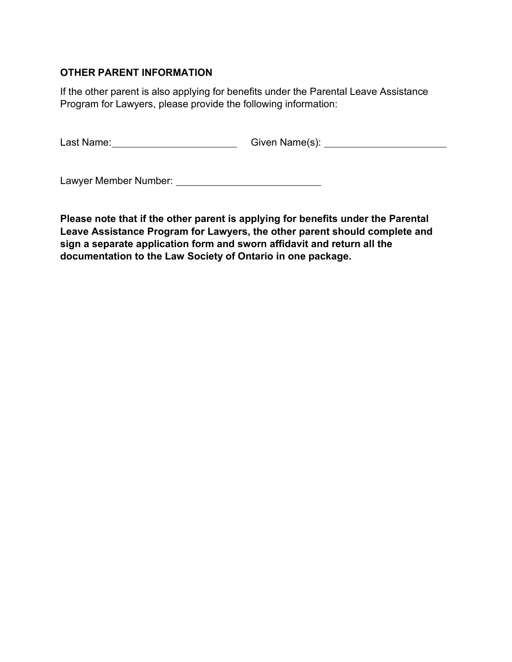# **OTHER PARENT INFORMATION**

 If the other parent is also applying for benefits under the Parental Leave Assistance Program for Lawyers, please provide the following information:

Last Name:\_\_\_\_\_\_\_\_\_\_\_\_\_\_\_\_\_\_\_\_\_\_\_\_\_\_\_\_\_\_\_\_\_\_Given Name(s): \_

Lawyer Member Number:

 **documentation to the Law Society of Ontario in one package. Please note that if the other parent is applying for benefits under the Parental Leave Assistance Program for Lawyers, the other parent should complete and sign a separate application form and sworn affidavit and return all the**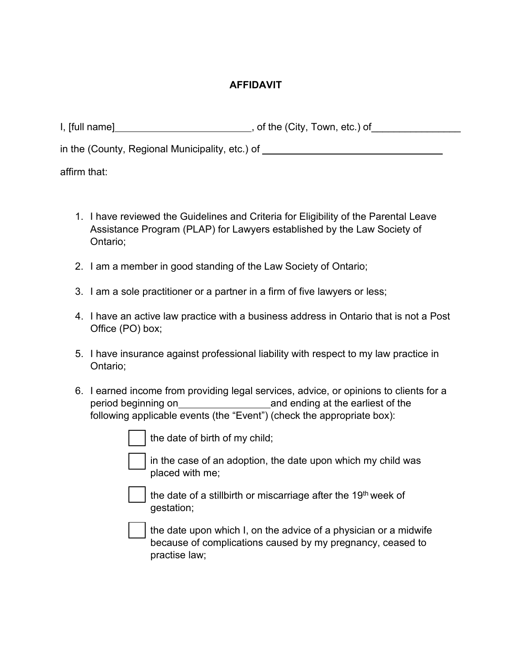# **AFFIDAVIT**

| $I,$ [full name]                                | , of the (City, Town, etc.) of |
|-------------------------------------------------|--------------------------------|
| in the (County, Regional Municipality, etc.) of |                                |

affirm that:

- Assistance Program (PLAP) for Lawyers established by the Law Society of 1. I have reviewed the Guidelines and Criteria for Eligibility of the Parental Leave Ontario;
- 2. I am a member in good standing of the Law Society of Ontario;
- 3. I am a sole practitioner or a partner in a firm of five lawyers or less;
- Office (PO) box; 4. I have an active law practice with a business address in Ontario that is not a Post
- 5. I have insurance against professional liability with respect to my law practice in Ontario;
- period beginning on\_\_\_\_\_\_\_\_\_\_\_\_\_\_\_\_\_\_\_\_\_\_and ending at the earliest of the following applicable events (the "Event") (check the appropriate box): 6. I earned income from providing legal services, advice, or opinions to clients for a

the date of birth of my child;

 placed with me; in the case of an adoption, the date upon which my child was

the date of a stillbirth or miscarriage after the 19<sup>th</sup> week of gestation;

 practise law; the date upon which I, on the advice of a physician or a midwife because of complications caused by my pregnancy, ceased to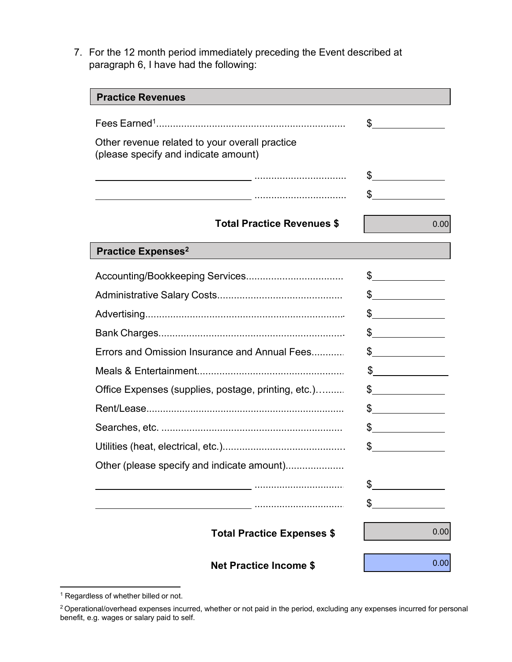paragraph 6, I have had the following: 7. For the 12 month period immediately preceding the Event described at

| <b>Practice Revenues</b>                                                               |                                                                                                                                                                                                                                                                                                                                               |
|----------------------------------------------------------------------------------------|-----------------------------------------------------------------------------------------------------------------------------------------------------------------------------------------------------------------------------------------------------------------------------------------------------------------------------------------------|
|                                                                                        | $\frac{1}{2}$                                                                                                                                                                                                                                                                                                                                 |
| Other revenue related to your overall practice<br>(please specify and indicate amount) |                                                                                                                                                                                                                                                                                                                                               |
|                                                                                        | $\frac{1}{2}$                                                                                                                                                                                                                                                                                                                                 |
|                                                                                        | \$                                                                                                                                                                                                                                                                                                                                            |
| <b>Total Practice Revenues \$</b>                                                      | 0.00                                                                                                                                                                                                                                                                                                                                          |
| <b>Practice Expenses<sup>2</sup></b>                                                   |                                                                                                                                                                                                                                                                                                                                               |
|                                                                                        | $\frac{1}{2}$                                                                                                                                                                                                                                                                                                                                 |
|                                                                                        | $\frac{1}{2}$                                                                                                                                                                                                                                                                                                                                 |
|                                                                                        | $\frac{1}{2}$                                                                                                                                                                                                                                                                                                                                 |
|                                                                                        | $\frac{1}{2}$                                                                                                                                                                                                                                                                                                                                 |
| Errors and Omission Insurance and Annual Fees                                          | $\sim$                                                                                                                                                                                                                                                                                                                                        |
|                                                                                        | $\sim$                                                                                                                                                                                                                                                                                                                                        |
| Office Expenses (supplies, postage, printing, etc.)                                    | $\frac{1}{2}$                                                                                                                                                                                                                                                                                                                                 |
|                                                                                        | $\begin{picture}(20,20) \put(0,0){\line(1,0){100}} \put(15,0){\line(1,0){100}} \put(15,0){\line(1,0){100}} \put(15,0){\line(1,0){100}} \put(15,0){\line(1,0){100}} \put(15,0){\line(1,0){100}} \put(15,0){\line(1,0){100}} \put(15,0){\line(1,0){100}} \put(15,0){\line(1,0){100}} \put(15,0){\line(1,0){100}} \put(15,0){\line(1,0){100}} \$ |
|                                                                                        | $\frac{1}{2}$                                                                                                                                                                                                                                                                                                                                 |
|                                                                                        | \$                                                                                                                                                                                                                                                                                                                                            |
| Other (please specify and indicate amount)                                             |                                                                                                                                                                                                                                                                                                                                               |
|                                                                                        | S                                                                                                                                                                                                                                                                                                                                             |
|                                                                                        | \$                                                                                                                                                                                                                                                                                                                                            |
| <b>Total Practice Expenses \$</b>                                                      | 0.00                                                                                                                                                                                                                                                                                                                                          |
| <b>Net Practice Income \$</b>                                                          | 0.00                                                                                                                                                                                                                                                                                                                                          |

<sup>&</sup>lt;sup>1</sup> Regardless of whether billed or not.

<sup>&</sup>lt;sup>2</sup> Operational/overhead expenses incurred, whether or not paid in the period, excluding any expenses incurred for personal benefit, e.g. wages or salary paid to self.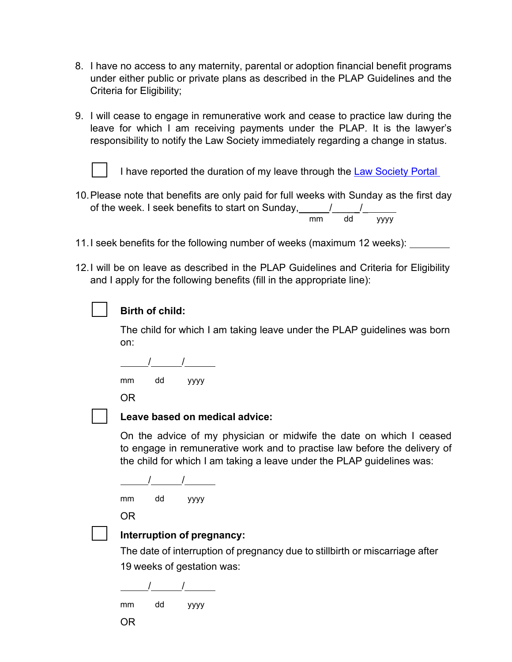- 8. I have no access to any maternity, parental or adoption financial benefit programs Criteria for Eligibility; under either public or private plans as described in the PLAP Guidelines and the
- responsibility to notify the Law Society immediately regarding a change in status. 9. I will cease to engage in remunerative work and cease to practice law during the leave for which I am receiving payments under the PLAP. It is the lawyer's
	-

I have reported the duration of my leave through the <u>Law Society Portal\_</u>

- of the week. I seek benefits to start on Sunday,\_\_\_\_\_/\_\_\_\_\_/\_ 10.Please note that benefits are only paid for full weeks with Sunday as the first day mm dd yyyy
- 11.I seek benefits for the following number of weeks (maximum 12 weeks):
- 12.I will be on leave as described in the PLAP Guidelines and Criteria for Eligibility and I apply for the following benefits (fill in the appropriate line):



## **Birth of child:**

The child for which I am taking leave under the PLAP guidelines was born on:

 / / mm dd yyyy

OR

#### **Leave based on medical advice:**

On the advice of my physician or midwife the date on which I ceased to engage in remunerative work and to practise law before the delivery of the child for which I am taking a leave under the PLAP guidelines was:

 $\overline{a}$ / /

mm dd yyyy

OR



#### **Interruption of pregnancy:**

The date of interruption of pregnancy due to stillbirth or miscarriage after 19 weeks of gestation was:

 $\overline{a}$ / /

mm dd yyyy

OR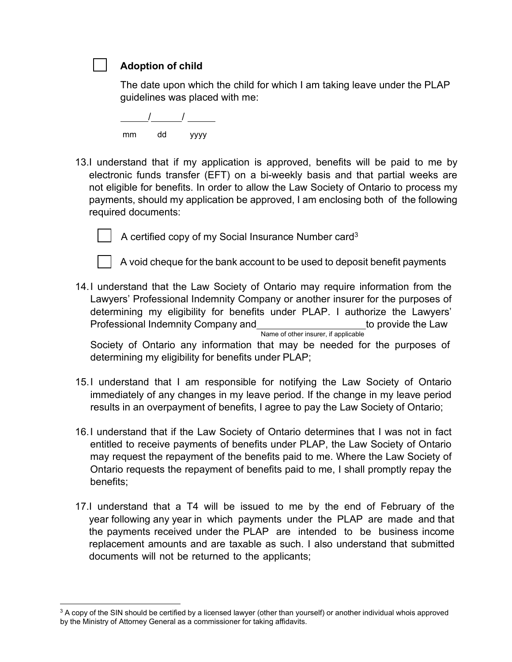**Adoption of child** 

The date upon which the child for which I am taking leave under the PLAP guidelines was placed with me:

/ / mm dd yyyy

13.I understand that if my application is approved, benefits will be paid to me by electronic funds transfer (EFT) on a bi-weekly basis and that partial weeks are not eligible for benefits. In order to allow the Law Society of Ontario to process my payments, should my application be approved, I am enclosing both of the following required documents:



A certified copy of my Social Insurance Number card<sup>3</sup>



A void cheque for the bank account to be used to deposit benefit payments

14.I understand that the Law Society of Ontario may require information from the Lawyers' Professional Indemnity Company or another insurer for the purposes of determining my eligibility for benefits under PLAP. I authorize the Lawyers' Professional Indemnity Company and the provide the Law Name of other insurer, if applicable

Society of Ontario any information that may be needed for the purposes of determining my eligibility for benefits under PLAP;

- 15.I understand that I am responsible for notifying the Law Society of Ontario immediately of any changes in my leave period. If the change in my leave period results in an overpayment of benefits, I agree to pay the Law Society of Ontario;
- 16.I understand that if the Law Society of Ontario determines that I was not in fact entitled to receive payments of benefits under PLAP, the Law Society of Ontario may request the repayment of the benefits paid to me. Where the Law Society of Ontario requests the repayment of benefits paid to me, I shall promptly repay the benefits;
- 17.I understand that a T4 will be issued to me by the end of February of the year following any year in which payments under the PLAP are made and that the payments received under the PLAP are intended to be business income replacement amounts and are taxable as such. I also understand that submitted documents will not be returned to the applicants;

 $3$  A copy of the SIN should be certified by a licensed lawyer (other than yourself) or another individual whois approved by the Ministry of Attorney General as a commissioner for taking affidavits.